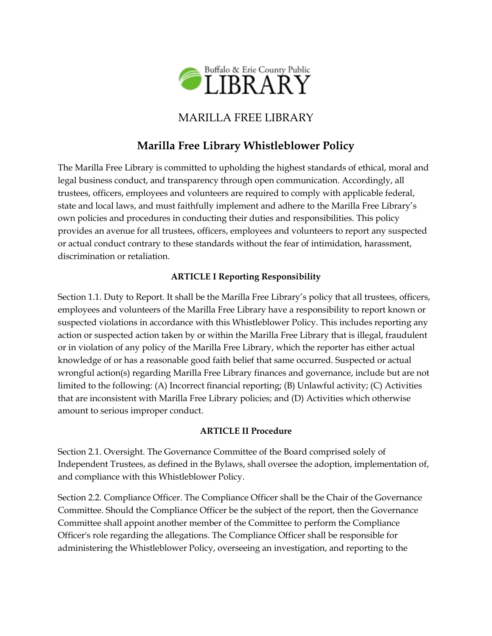

# MARILLA FREE LIBRARY

# **Marilla Free Library Whistleblower Policy**

The Marilla Free Library is committed to upholding the highest standards of ethical, moral and legal business conduct, and transparency through open communication. Accordingly, all trustees, officers, employees and volunteers are required to comply with applicable federal, state and local laws, and must faithfully implement and adhere to the Marilla Free Library's own policies and procedures in conducting their duties and responsibilities. This policy provides an avenue for all trustees, officers, employees and volunteers to report any suspected or actual conduct contrary to these standards without the fear of intimidation, harassment, discrimination or retaliation.

#### **ARTICLE I Reporting Responsibility**

Section 1.1. Duty to Report. It shall be the Marilla Free Library's policy that all trustees, officers, employees and volunteers of the Marilla Free Library have a responsibility to report known or suspected violations in accordance with this Whistleblower Policy. This includes reporting any action or suspected action taken by or within the Marilla Free Library that is illegal, fraudulent or in violation of any policy of the Marilla Free Library, which the reporter has either actual knowledge of or has a reasonable good faith belief that same occurred. Suspected or actual wrongful action(s) regarding Marilla Free Library finances and governance, include but are not limited to the following: (A) Incorrect financial reporting; (B) Unlawful activity; (C) Activities that are inconsistent with Marilla Free Library policies; and (D) Activities which otherwise amount to serious improper conduct.

#### **ARTICLE II Procedure**

Section 2.1. Oversight. The Governance Committee of the Board comprised solely of Independent Trustees, as defined in the Bylaws, shall oversee the adoption, implementation of, and compliance with this Whistleblower Policy.

Section 2.2. Compliance Officer. The Compliance Officer shall be the Chair of the Governance Committee. Should the Compliance Officer be the subject of the report, then the Governance Committee shall appoint another member of the Committee to perform the Compliance Officer's role regarding the allegations. The Compliance Officer shall be responsible for administering the Whistleblower Policy, overseeing an investigation, and reporting to the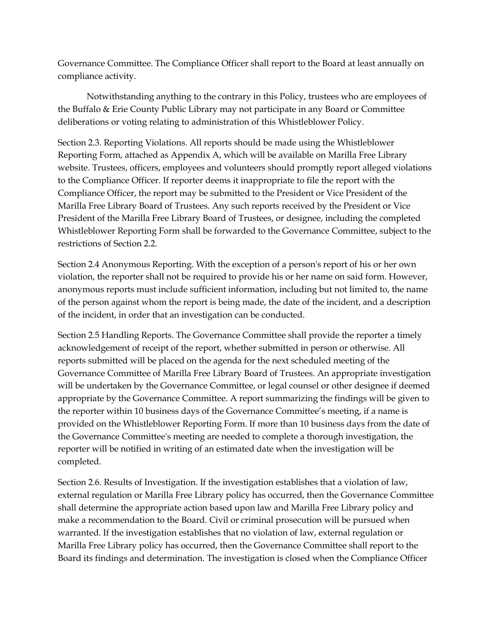Governance Committee. The Compliance Officer shall report to the Board at least annually on compliance activity.

Notwithstanding anything to the contrary in this Policy, trustees who are employees of the Buffalo & Erie County Public Library may not participate in any Board or Committee deliberations or voting relating to administration of this Whistleblower Policy.

Section 2.3. Reporting Violations. All reports should be made using the Whistleblower Reporting Form, attached as Appendix A, which will be available on Marilla Free Library website. Trustees, officers, employees and volunteers should promptly report alleged violations to the Compliance Officer. If reporter deems it inappropriate to file the report with the Compliance Officer, the report may be submitted to the President or Vice President of the Marilla Free Library Board of Trustees. Any such reports received by the President or Vice President of the Marilla Free Library Board of Trustees, or designee, including the completed Whistleblower Reporting Form shall be forwarded to the Governance Committee, subject to the restrictions of Section 2.2.

Section 2.4 Anonymous Reporting. With the exception of a person's report of his or her own violation, the reporter shall not be required to provide his or her name on said form. However, anonymous reports must include sufficient information, including but not limited to, the name of the person against whom the report is being made, the date of the incident, and a description of the incident, in order that an investigation can be conducted.

Section 2.5 Handling Reports. The Governance Committee shall provide the reporter a timely acknowledgement of receipt of the report, whether submitted in person or otherwise. All reports submitted will be placed on the agenda for the next scheduled meeting of the Governance Committee of Marilla Free Library Board of Trustees. An appropriate investigation will be undertaken by the Governance Committee, or legal counsel or other designee if deemed appropriate by the Governance Committee. A report summarizing the findings will be given to the reporter within 10 business days of the Governance Committee's meeting, if a name is provided on the Whistleblower Reporting Form. If more than 10 business days from the date of the Governance Committee's meeting are needed to complete a thorough investigation, the reporter will be notified in writing of an estimated date when the investigation will be completed.

Section 2.6. Results of Investigation. If the investigation establishes that a violation of law, external regulation or Marilla Free Library policy has occurred, then the Governance Committee shall determine the appropriate action based upon law and Marilla Free Library policy and make a recommendation to the Board. Civil or criminal prosecution will be pursued when warranted. If the investigation establishes that no violation of law, external regulation or Marilla Free Library policy has occurred, then the Governance Committee shall report to the Board its findings and determination. The investigation is closed when the Compliance Officer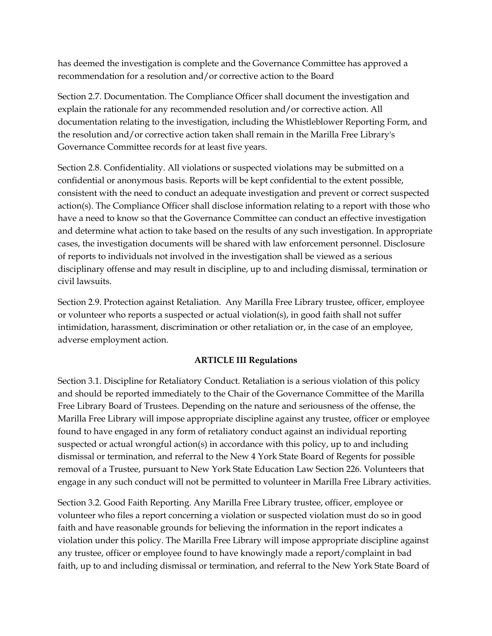has deemed the investigation is complete and the Governance Committee has approved a recommendation for a resolution and/or corrective action to the Board

Section 2.7. Documentation. The Compliance Officer shall document the investigation and explain the rationale for any recommended resolution and/or corrective action. All documentation relating to the investigation, including the Whistleblower Reporting Form, and the resolution and/or corrective action taken shall remain in the Marilla Free Library's Governance Committee records for at least five years.

Section 2.8. Confidentiality. All violations or suspected violations may be submitted on a confidential or anonymous basis. Reports will be kept confidential to the extent possible, consistent with the need to conduct an adequate investigation and prevent or correct suspected action(s). The Compliance Officer shall disclose information relating to a report with those who have a need to know so that the Governance Committee can conduct an effective investigation and determine what action to take based on the results of any such investigation. In appropriate cases, the investigation documents will be shared with law enforcement personnel. Disclosure of reports to individuals not involved in the investigation shall be viewed as a serious disciplinary offense and may result in discipline, up to and including dismissal, termination or civil lawsuits.

Section 2.9. Protection against Retaliation. Any Marilla Free Library trustee, officer, employee or volunteer who reports a suspected or actual violation(s), in good faith shall not suffer intimidation, harassment, discrimination or other retaliation or, in the case of an employee, adverse employment action.

#### **ARTICLE III Regulations**

Section 3.1. Discipline for Retaliatory Conduct. Retaliation is a serious violation of this policy and should be reported immediately to the Chair of the Governance Committee of the Marilla Free Library Board of Trustees. Depending on the nature and seriousness of the offense, the Marilla Free Library will impose appropriate discipline against any trustee, officer or employee found to have engaged in any form of retaliatory conduct against an individual reporting suspected or actual wrongful action(s) in accordance with this policy, up to and including dismissal or termination, and referral to the New 4 York State Board of Regents for possible removal of a Trustee, pursuant to New York State Education Law Section 226. Volunteers that engage in any such conduct will not be permitted to volunteer in Marilla Free Library activities.

Section 3.2. Good Faith Reporting. Any Marilla Free Library trustee, officer, employee or volunteer who files a report concerning a violation or suspected violation must do so in good faith and have reasonable grounds for believing the information in the report indicates a violation under this policy. The Marilla Free Library will impose appropriate discipline against any trustee, officer or employee found to have knowingly made a report/complaint in bad faith, up to and including dismissal or termination, and referral to the New York State Board of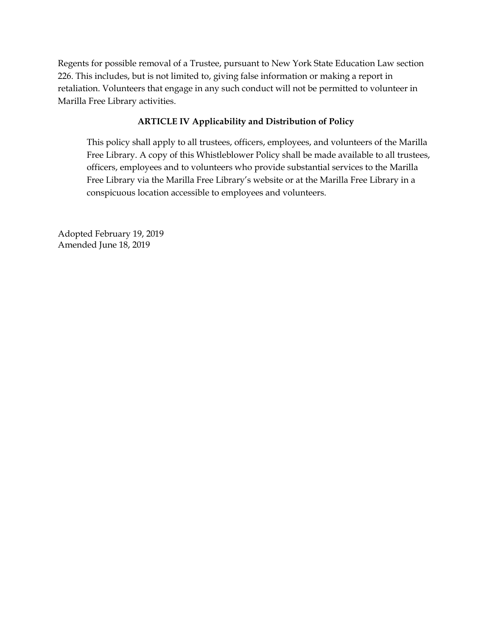Regents for possible removal of a Trustee, pursuant to New York State Education Law section 226. This includes, but is not limited to, giving false information or making a report in retaliation. Volunteers that engage in any such conduct will not be permitted to volunteer in Marilla Free Library activities.

#### **ARTICLE IV Applicability and Distribution of Policy**

This policy shall apply to all trustees, officers, employees, and volunteers of the Marilla Free Library. A copy of this Whistleblower Policy shall be made available to all trustees, officers, employees and to volunteers who provide substantial services to the Marilla Free Library via the Marilla Free Library's website or at the Marilla Free Library in a conspicuous location accessible to employees and volunteers.

Adopted February 19, 2019 Amended June 18, 2019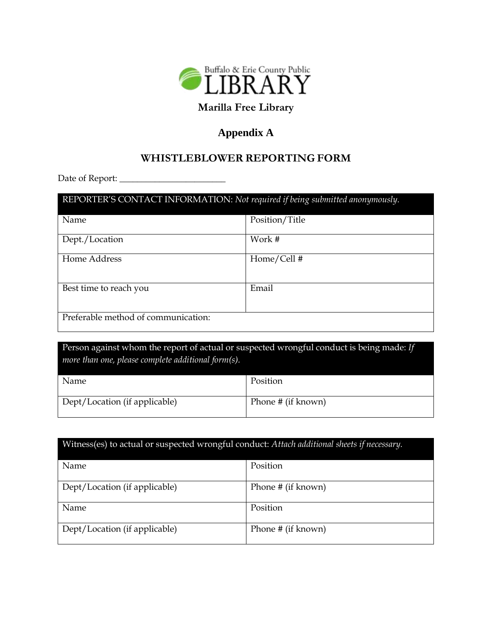

# **Marilla Free Library**

## **Appendix A**

### **WHISTLEBLOWER REPORTING FORM**

Date of Report: \_\_\_\_\_\_\_\_\_\_\_\_\_\_\_\_\_\_\_\_\_\_\_\_

| REPORTER'S CONTACT INFORMATION: Not required if being submitted anonymously. |                |  |
|------------------------------------------------------------------------------|----------------|--|
| Name                                                                         | Position/Title |  |
| Dept./Location                                                               | Work #         |  |
| Home Address                                                                 | Home/Cell#     |  |
| Best time to reach you                                                       | Email          |  |
| Preferable method of communication:                                          |                |  |

Person against whom the report of actual or suspected wrongful conduct is being made: *If more than one, please complete additional form(s).*

| Name                          | Position           |
|-------------------------------|--------------------|
| Dept/Location (if applicable) | Phone # (if known) |

| Witness(es) to actual or suspected wrongful conduct: Attach additional sheets if necessary. |                    |  |
|---------------------------------------------------------------------------------------------|--------------------|--|
| Name                                                                                        | Position           |  |
| Dept/Location (if applicable)                                                               | Phone # (if known) |  |
| Name                                                                                        | Position           |  |
| Dept/Location (if applicable)                                                               | Phone # (if known) |  |